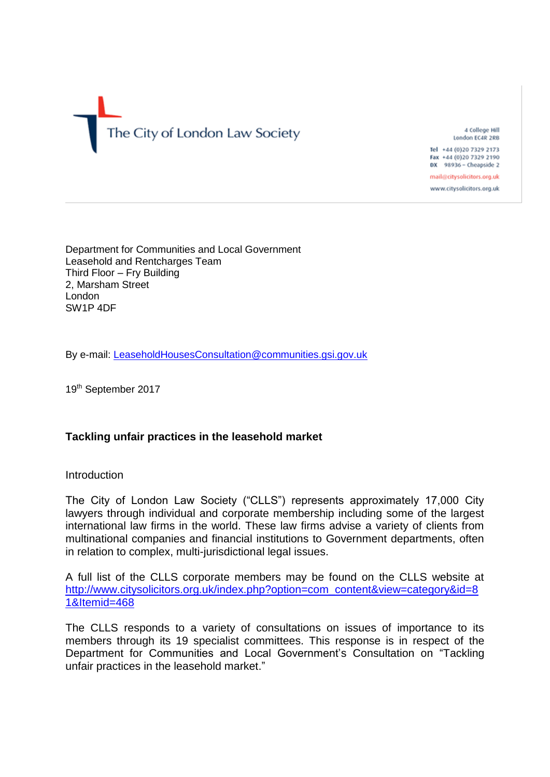# The City of London Law Society

4 College Hill London EC4R 2RB

Tel +44 (0)20 7329 2173 Fax +44 (0)20 7329 2190 DX 98936 - Cheapside 2

mail@citysolicitors.org.uk www.citysolicitors.org.uk

Department for Communities and Local Government Leasehold and Rentcharges Team Third Floor – Fry Building 2, Marsham Street London SW1P 4DF

By e-mail: [LeaseholdHousesConsultation@communities.gsi.gov.uk](mailto:LeaseholdHousesConsultation@communities.gsi.gov.uk)

19<sup>th</sup> September 2017

# **Tackling unfair practices in the leasehold market**

## **Introduction**

The City of London Law Society ("CLLS") represents approximately 17,000 City lawyers through individual and corporate membership including some of the largest international law firms in the world. These law firms advise a variety of clients from multinational companies and financial institutions to Government departments, often in relation to complex, multi-jurisdictional legal issues.

A full list of the CLLS corporate members may be found on the CLLS website at [http://www.citysolicitors.org.uk/index.php?option=com\\_content&view=category&id=8](http://www.citysolicitors.org.uk/index.php?option=com_content&view=category&id=81&Itemid=468) [1&Itemid=468](http://www.citysolicitors.org.uk/index.php?option=com_content&view=category&id=81&Itemid=468)

The CLLS responds to a variety of consultations on issues of importance to its members through its 19 specialist committees. This response is in respect of the Department for Communities and Local Government's Consultation on "Tackling unfair practices in the leasehold market."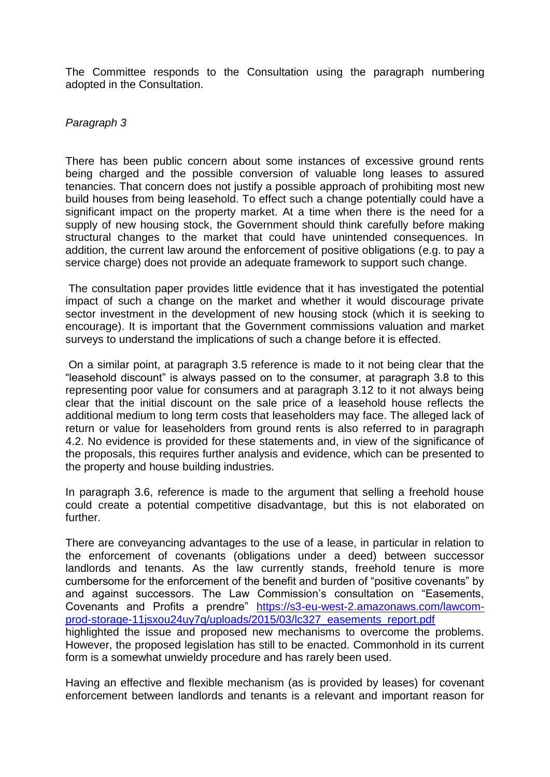The Committee responds to the Consultation using the paragraph numbering adopted in the Consultation.

## *Paragraph 3*

There has been public concern about some instances of excessive ground rents being charged and the possible conversion of valuable long leases to assured tenancies. That concern does not justify a possible approach of prohibiting most new build houses from being leasehold. To effect such a change potentially could have a significant impact on the property market. At a time when there is the need for a supply of new housing stock, the Government should think carefully before making structural changes to the market that could have unintended consequences. In addition, the current law around the enforcement of positive obligations (e.g. to pay a service charge) does not provide an adequate framework to support such change.

The consultation paper provides little evidence that it has investigated the potential impact of such a change on the market and whether it would discourage private sector investment in the development of new housing stock (which it is seeking to encourage). It is important that the Government commissions valuation and market surveys to understand the implications of such a change before it is effected.

On a similar point, at paragraph 3.5 reference is made to it not being clear that the "leasehold discount" is always passed on to the consumer, at paragraph 3.8 to this representing poor value for consumers and at paragraph 3.12 to it not always being clear that the initial discount on the sale price of a leasehold house reflects the additional medium to long term costs that leaseholders may face. The alleged lack of return or value for leaseholders from ground rents is also referred to in paragraph 4.2. No evidence is provided for these statements and, in view of the significance of the proposals, this requires further analysis and evidence, which can be presented to the property and house building industries.

In paragraph 3.6, reference is made to the argument that selling a freehold house could create a potential competitive disadvantage, but this is not elaborated on further.

There are conveyancing advantages to the use of a lease, in particular in relation to the enforcement of covenants (obligations under a deed) between successor landlords and tenants. As the law currently stands, freehold tenure is more cumbersome for the enforcement of the benefit and burden of "positive covenants" by and against successors. The Law Commission's consultation on "Easements, Covenants and Profits a prendre" [https://s3-eu-west-2.amazonaws.com/lawcom](https://s3-eu-west-2.amazonaws.com/lawcom-prod-storage-11jsxou24uy7q/uploads/2015/03/lc327_easements_report.pdf)[prod-storage-11jsxou24uy7q/uploads/2015/03/lc327\\_easements\\_report.pdf](https://s3-eu-west-2.amazonaws.com/lawcom-prod-storage-11jsxou24uy7q/uploads/2015/03/lc327_easements_report.pdf) highlighted the issue and proposed new mechanisms to overcome the problems. However, the proposed legislation has still to be enacted. Commonhold in its current form is a somewhat unwieldy procedure and has rarely been used.

Having an effective and flexible mechanism (as is provided by leases) for covenant enforcement between landlords and tenants is a relevant and important reason for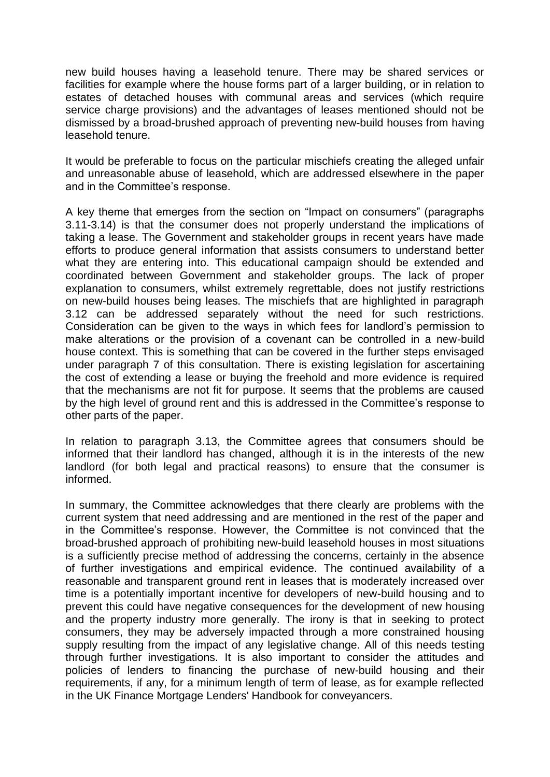new build houses having a leasehold tenure. There may be shared services or facilities for example where the house forms part of a larger building, or in relation to estates of detached houses with communal areas and services (which require service charge provisions) and the advantages of leases mentioned should not be dismissed by a broad-brushed approach of preventing new-build houses from having leasehold tenure.

It would be preferable to focus on the particular mischiefs creating the alleged unfair and unreasonable abuse of leasehold, which are addressed elsewhere in the paper and in the Committee's response.

A key theme that emerges from the section on "Impact on consumers" (paragraphs 3.11-3.14) is that the consumer does not properly understand the implications of taking a lease. The Government and stakeholder groups in recent years have made efforts to produce general information that assists consumers to understand better what they are entering into. This educational campaign should be extended and coordinated between Government and stakeholder groups. The lack of proper explanation to consumers, whilst extremely regrettable, does not justify restrictions on new-build houses being leases. The mischiefs that are highlighted in paragraph 3.12 can be addressed separately without the need for such restrictions. Consideration can be given to the ways in which fees for landlord's permission to make alterations or the provision of a covenant can be controlled in a new-build house context. This is something that can be covered in the further steps envisaged under paragraph 7 of this consultation. There is existing legislation for ascertaining the cost of extending a lease or buying the freehold and more evidence is required that the mechanisms are not fit for purpose. It seems that the problems are caused by the high level of ground rent and this is addressed in the Committee's response to other parts of the paper.

In relation to paragraph 3.13, the Committee agrees that consumers should be informed that their landlord has changed, although it is in the interests of the new landlord (for both legal and practical reasons) to ensure that the consumer is informed.

In summary, the Committee acknowledges that there clearly are problems with the current system that need addressing and are mentioned in the rest of the paper and in the Committee's response. However, the Committee is not convinced that the broad-brushed approach of prohibiting new-build leasehold houses in most situations is a sufficiently precise method of addressing the concerns, certainly in the absence of further investigations and empirical evidence. The continued availability of a reasonable and transparent ground rent in leases that is moderately increased over time is a potentially important incentive for developers of new-build housing and to prevent this could have negative consequences for the development of new housing and the property industry more generally. The irony is that in seeking to protect consumers, they may be adversely impacted through a more constrained housing supply resulting from the impact of any legislative change. All of this needs testing through further investigations. It is also important to consider the attitudes and policies of lenders to financing the purchase of new-build housing and their requirements, if any, for a minimum length of term of lease, as for example reflected in the UK Finance Mortgage Lenders' Handbook for conveyancers.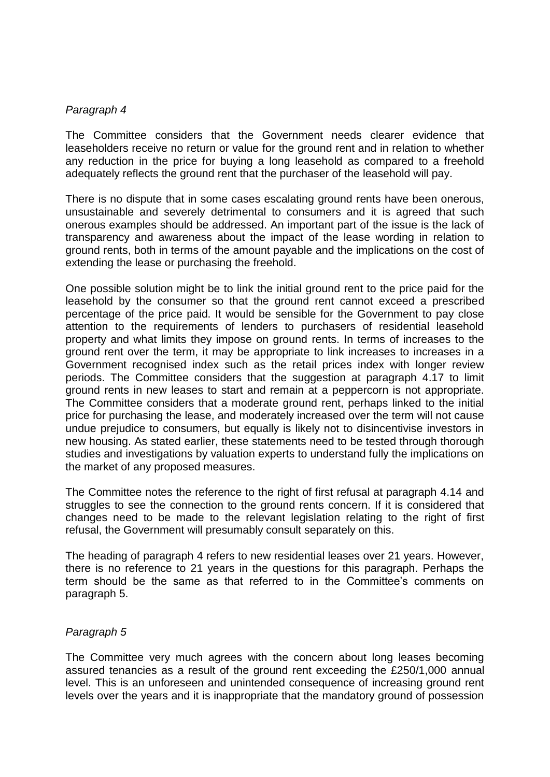#### *Paragraph 4*

The Committee considers that the Government needs clearer evidence that leaseholders receive no return or value for the ground rent and in relation to whether any reduction in the price for buying a long leasehold as compared to a freehold adequately reflects the ground rent that the purchaser of the leasehold will pay.

There is no dispute that in some cases escalating ground rents have been onerous, unsustainable and severely detrimental to consumers and it is agreed that such onerous examples should be addressed. An important part of the issue is the lack of transparency and awareness about the impact of the lease wording in relation to ground rents, both in terms of the amount payable and the implications on the cost of extending the lease or purchasing the freehold.

One possible solution might be to link the initial ground rent to the price paid for the leasehold by the consumer so that the ground rent cannot exceed a prescribed percentage of the price paid. It would be sensible for the Government to pay close attention to the requirements of lenders to purchasers of residential leasehold property and what limits they impose on ground rents. In terms of increases to the ground rent over the term, it may be appropriate to link increases to increases in a Government recognised index such as the retail prices index with longer review periods. The Committee considers that the suggestion at paragraph 4.17 to limit ground rents in new leases to start and remain at a peppercorn is not appropriate. The Committee considers that a moderate ground rent, perhaps linked to the initial price for purchasing the lease, and moderately increased over the term will not cause undue prejudice to consumers, but equally is likely not to disincentivise investors in new housing. As stated earlier, these statements need to be tested through thorough studies and investigations by valuation experts to understand fully the implications on the market of any proposed measures.

The Committee notes the reference to the right of first refusal at paragraph 4.14 and struggles to see the connection to the ground rents concern. If it is considered that changes need to be made to the relevant legislation relating to the right of first refusal, the Government will presumably consult separately on this.

The heading of paragraph 4 refers to new residential leases over 21 years. However, there is no reference to 21 years in the questions for this paragraph. Perhaps the term should be the same as that referred to in the Committee's comments on paragraph 5.

## *Paragraph 5*

The Committee very much agrees with the concern about long leases becoming assured tenancies as a result of the ground rent exceeding the £250/1,000 annual level. This is an unforeseen and unintended consequence of increasing ground rent levels over the years and it is inappropriate that the mandatory ground of possession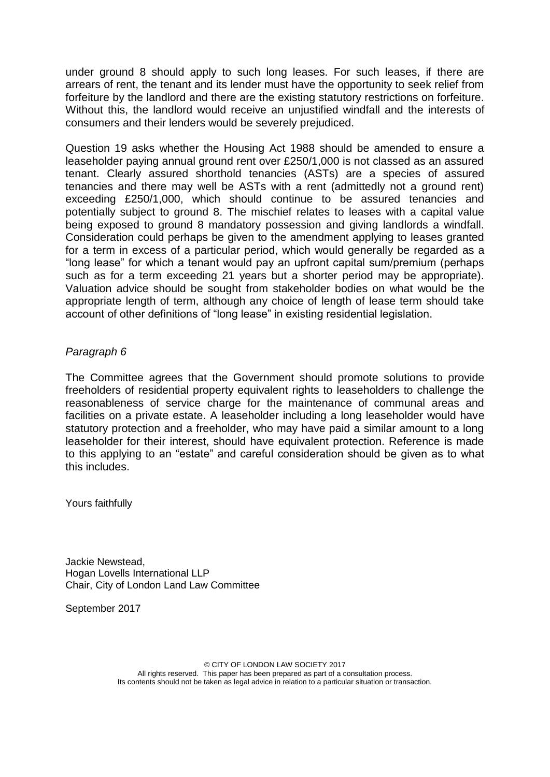under ground 8 should apply to such long leases. For such leases, if there are arrears of rent, the tenant and its lender must have the opportunity to seek relief from forfeiture by the landlord and there are the existing statutory restrictions on forfeiture. Without this, the landlord would receive an unjustified windfall and the interests of consumers and their lenders would be severely prejudiced.

Question 19 asks whether the Housing Act 1988 should be amended to ensure a leaseholder paying annual ground rent over £250/1,000 is not classed as an assured tenant. Clearly assured shorthold tenancies (ASTs) are a species of assured tenancies and there may well be ASTs with a rent (admittedly not a ground rent) exceeding £250/1,000, which should continue to be assured tenancies and potentially subject to ground 8. The mischief relates to leases with a capital value being exposed to ground 8 mandatory possession and giving landlords a windfall. Consideration could perhaps be given to the amendment applying to leases granted for a term in excess of a particular period, which would generally be regarded as a "long lease" for which a tenant would pay an upfront capital sum/premium (perhaps such as for a term exceeding 21 years but a shorter period may be appropriate). Valuation advice should be sought from stakeholder bodies on what would be the appropriate length of term, although any choice of length of lease term should take account of other definitions of "long lease" in existing residential legislation.

# *Paragraph 6*

The Committee agrees that the Government should promote solutions to provide freeholders of residential property equivalent rights to leaseholders to challenge the reasonableness of service charge for the maintenance of communal areas and facilities on a private estate. A leaseholder including a long leaseholder would have statutory protection and a freeholder, who may have paid a similar amount to a long leaseholder for their interest, should have equivalent protection. Reference is made to this applying to an "estate" and careful consideration should be given as to what this includes.

Yours faithfully

Jackie Newstead, Hogan Lovells International LLP Chair, City of London Land Law Committee

September 2017